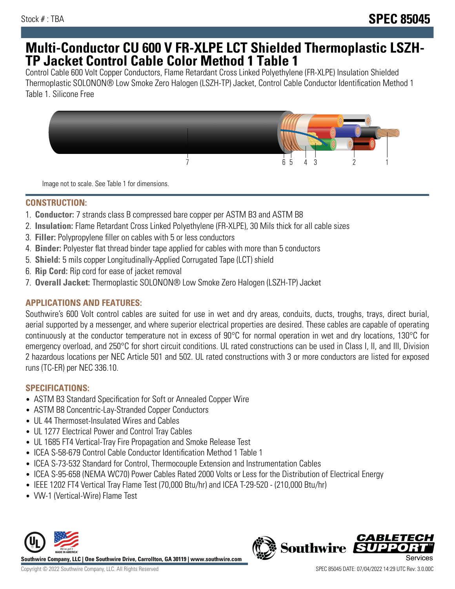# **Multi-Conductor CU 600 V FR-XLPE LCT Shielded Thermoplastic LSZH-TP Jacket Control Cable Color Method 1 Table 1**

Control Cable 600 Volt Copper Conductors, Flame Retardant Cross Linked Polyethylene (FR-XLPE) Insulation Shielded Thermoplastic SOLONON® Low Smoke Zero Halogen (LSZH-TP) Jacket, Control Cable Conductor Identification Method 1 Table 1. Silicone Free



Image not to scale. See Table 1 for dimensions.

### **CONSTRUCTION:**

- 1. **Conductor:** 7 strands class B compressed bare copper per ASTM B3 and ASTM B8
- 2. **Insulation:** Flame Retardant Cross Linked Polyethylene (FR-XLPE), 30 Mils thick for all cable sizes
- 3. **Filler:** Polypropylene filler on cables with 5 or less conductors
- 4. **Binder:** Polyester flat thread binder tape applied for cables with more than 5 conductors
- 5. **Shield:** 5 mils copper Longitudinally-Applied Corrugated Tape (LCT) shield
- 6. **Rip Cord:** Rip cord for ease of jacket removal
- 7. **Overall Jacket:** Thermoplastic SOLONON® Low Smoke Zero Halogen (LSZH-TP) Jacket

# **APPLICATIONS AND FEATURES:**

Southwire's 600 Volt control cables are suited for use in wet and dry areas, conduits, ducts, troughs, trays, direct burial, aerial supported by a messenger, and where superior electrical properties are desired. These cables are capable of operating continuously at the conductor temperature not in excess of 90°C for normal operation in wet and dry locations, 130°C for emergency overload, and 250°C for short circuit conditions. UL rated constructions can be used in Class I, II, and III, Division 2 hazardous locations per NEC Article 501 and 502. UL rated constructions with 3 or more conductors are listed for exposed runs (TC-ER) per NEC 336.10.

# **SPECIFICATIONS:**

- ASTM B3 Standard Specification for Soft or Annealed Copper Wire
- ASTM B8 Concentric-Lay-Stranded Copper Conductors
- UL 44 Thermoset-Insulated Wires and Cables
- UL 1277 Electrical Power and Control Tray Cables
- UL 1685 FT4 Vertical-Tray Fire Propagation and Smoke Release Test
- ICEA S-58-679 Control Cable Conductor Identification Method 1 Table 1
- ICEA S-73-532 Standard for Control, Thermocouple Extension and Instrumentation Cables
- ICEA S-95-658 (NEMA WC70) Power Cables Rated 2000 Volts or Less for the Distribution of Electrical Energy
- IEEE 1202 FT4 Vertical Tray Flame Test (70,000 Btu/hr) and ICEA T-29-520 (210,000 Btu/hr)
- VW-1 (Vertical-Wire) Flame Test



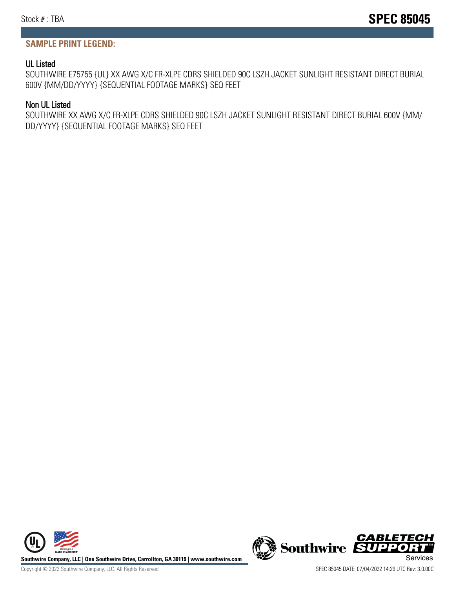#### **SAMPLE PRINT LEGEND:**

#### UL Listed

SOUTHWIRE E75755 {UL} XX AWG X/C FR-XLPE CDRS SHIELDED 90C LSZH JACKET SUNLIGHT RESISTANT DIRECT BURIAL 600V {MM/DD/YYYY} {SEQUENTIAL FOOTAGE MARKS} SEQ FEET

#### Non UL Listed

SOUTHWIRE XX AWG X/C FR-XLPE CDRS SHIELDED 90C LSZH JACKET SUNLIGHT RESISTANT DIRECT BURIAL 600V {MM/ DD/YYYY} {SEQUENTIAL FOOTAGE MARKS} SEQ FEET